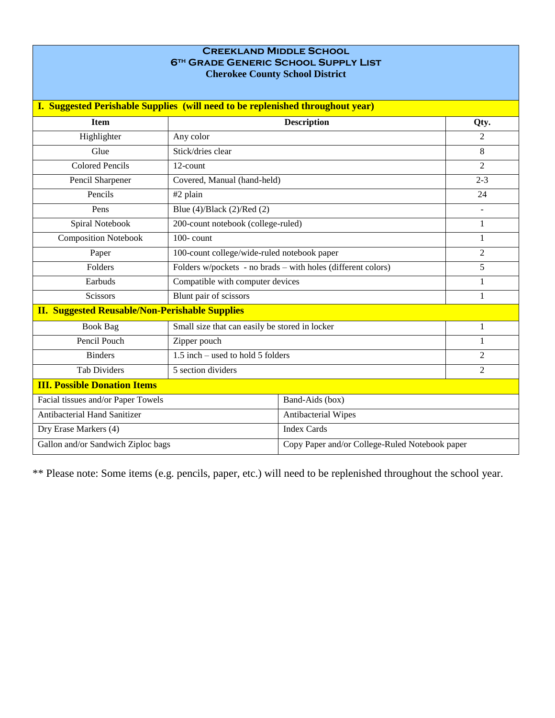## **Creekland Middle School 6th Grade Generic School Supply List Cherokee County School District**

| <b>I. Suggested Perishable Supplies (will need to be replenished throughout year)</b> |                                                              |                                                |                |  |  |  |
|---------------------------------------------------------------------------------------|--------------------------------------------------------------|------------------------------------------------|----------------|--|--|--|
|                                                                                       |                                                              |                                                |                |  |  |  |
| <b>Item</b>                                                                           |                                                              | <b>Description</b>                             | Qty.           |  |  |  |
| Highlighter                                                                           | Any color                                                    |                                                | 2              |  |  |  |
| Glue                                                                                  | Stick/dries clear                                            |                                                | 8              |  |  |  |
| <b>Colored Pencils</b>                                                                | 12-count                                                     | $\overline{2}$                                 |                |  |  |  |
| Pencil Sharpener                                                                      | Covered, Manual (hand-held)                                  |                                                | $2 - 3$        |  |  |  |
| Pencils                                                                               | #2 plain                                                     |                                                | 24             |  |  |  |
| Pens                                                                                  | Blue $(4)/Black$ $(2)/Red$ $(2)$                             |                                                | $\overline{a}$ |  |  |  |
| Spiral Notebook                                                                       | 200-count notebook (college-ruled)                           |                                                | 1              |  |  |  |
| <b>Composition Notebook</b>                                                           | $100$ - count                                                |                                                | 1              |  |  |  |
| Paper                                                                                 | 100-count college/wide-ruled notebook paper                  |                                                | $\overline{2}$ |  |  |  |
| Folders                                                                               | Folders w/pockets - no brads - with holes (different colors) |                                                | 5              |  |  |  |
| Earbuds                                                                               | Compatible with computer devices                             |                                                | 1              |  |  |  |
| <b>Scissors</b>                                                                       | Blunt pair of scissors                                       |                                                | 1              |  |  |  |
| <b>II. Suggested Reusable/Non-Perishable Supplies</b>                                 |                                                              |                                                |                |  |  |  |
| <b>Book Bag</b>                                                                       | Small size that can easily be stored in locker               |                                                | 1              |  |  |  |
| Pencil Pouch                                                                          | Zipper pouch                                                 |                                                |                |  |  |  |
| <b>Binders</b>                                                                        | 1.5 inch – used to hold 5 folders                            |                                                | $\overline{2}$ |  |  |  |
| <b>Tab Dividers</b>                                                                   | 5 section dividers                                           |                                                | 2              |  |  |  |
| <b>III. Possible Donation Items</b>                                                   |                                                              |                                                |                |  |  |  |
| Facial tissues and/or Paper Towels                                                    |                                                              | Band-Aids (box)                                |                |  |  |  |
| <b>Antibacterial Hand Sanitizer</b>                                                   |                                                              | Antibacterial Wipes                            |                |  |  |  |
| Dry Erase Markers (4)                                                                 |                                                              | <b>Index Cards</b>                             |                |  |  |  |
| Gallon and/or Sandwich Ziploc bags                                                    |                                                              | Copy Paper and/or College-Ruled Notebook paper |                |  |  |  |

\*\* Please note: Some items (e.g. pencils, paper, etc.) will need to be replenished throughout the school year.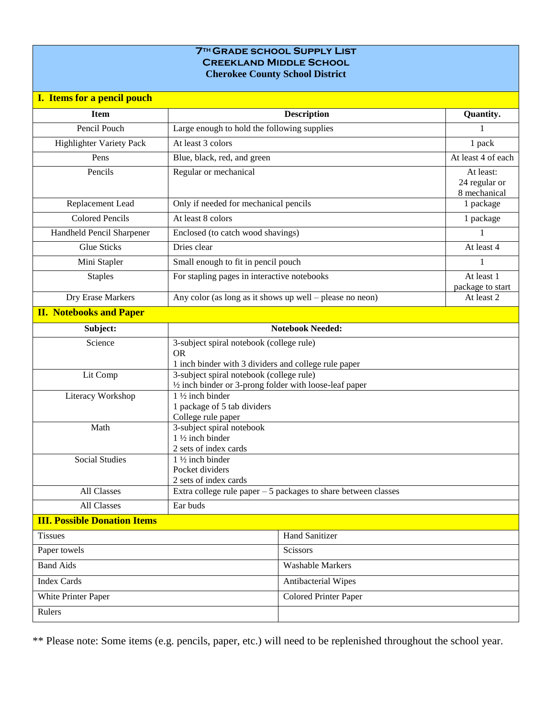## **7th Grade school Supply List Creekland Middle School Cherokee County School District**

| I. Items for a pencil pouch         |                                                                                                               |                                             |                                |  |  |
|-------------------------------------|---------------------------------------------------------------------------------------------------------------|---------------------------------------------|--------------------------------|--|--|
| <b>Item</b>                         | <b>Description</b>                                                                                            |                                             | Quantity.                      |  |  |
| Pencil Pouch                        |                                                                                                               | Large enough to hold the following supplies |                                |  |  |
| <b>Highlighter Variety Pack</b>     | At least 3 colors                                                                                             |                                             | 1 pack                         |  |  |
| Pens                                | Blue, black, red, and green                                                                                   |                                             | At least 4 of each             |  |  |
| Pencils                             | Regular or mechanical                                                                                         | At least:<br>24 regular or<br>8 mechanical  |                                |  |  |
| Replacement Lead                    | Only if needed for mechanical pencils                                                                         | 1 package                                   |                                |  |  |
| <b>Colored Pencils</b>              | At least 8 colors                                                                                             |                                             | 1 package                      |  |  |
| Handheld Pencil Sharpener           | Enclosed (to catch wood shavings)                                                                             |                                             | 1                              |  |  |
| <b>Glue Sticks</b>                  | Dries clear                                                                                                   |                                             | At least 4                     |  |  |
| Mini Stapler                        | Small enough to fit in pencil pouch                                                                           |                                             | 1                              |  |  |
| <b>Staples</b>                      | For stapling pages in interactive notebooks                                                                   |                                             | At least 1<br>package to start |  |  |
| Dry Erase Markers                   | Any color (as long as it shows up well – please no neon)                                                      |                                             | At least 2                     |  |  |
| <b>II. Notebooks and Paper</b>      |                                                                                                               |                                             |                                |  |  |
| Subject:                            |                                                                                                               | <b>Notebook Needed:</b>                     |                                |  |  |
| Science                             | 3-subject spiral notebook (college rule)<br><b>OR</b><br>1 inch binder with 3 dividers and college rule paper |                                             |                                |  |  |
| Lit Comp                            | 3-subject spiral notebook (college rule)<br>$\frac{1}{2}$ inch binder or 3-prong folder with loose-leaf paper |                                             |                                |  |  |
| Literacy Workshop                   | $1\frac{1}{2}$ inch binder<br>1 package of 5 tab dividers                                                     |                                             |                                |  |  |
| Math                                | College rule paper<br>3-subject spiral notebook<br>1 1/2 inch binder<br>2 sets of index cards                 |                                             |                                |  |  |
| <b>Social Studies</b>               | $1\frac{1}{2}$ inch binder<br>Pocket dividers<br>2 sets of index cards                                        |                                             |                                |  |  |
| All Classes                         | Extra college rule paper $-5$ packages to share between classes                                               |                                             |                                |  |  |
| All Classes                         | Ear buds                                                                                                      |                                             |                                |  |  |
| <b>III. Possible Donation Items</b> |                                                                                                               |                                             |                                |  |  |
| <b>Tissues</b>                      |                                                                                                               | <b>Hand Sanitizer</b>                       |                                |  |  |
| Paper towels                        |                                                                                                               | Scissors                                    |                                |  |  |
| <b>Band Aids</b>                    |                                                                                                               | <b>Washable Markers</b>                     |                                |  |  |
| <b>Index Cards</b>                  |                                                                                                               | Antibacterial Wipes                         |                                |  |  |
| White Printer Paper                 |                                                                                                               | <b>Colored Printer Paper</b>                |                                |  |  |
| Rulers                              |                                                                                                               |                                             |                                |  |  |

\*\* Please note: Some items (e.g. pencils, paper, etc.) will need to be replenished throughout the school year.